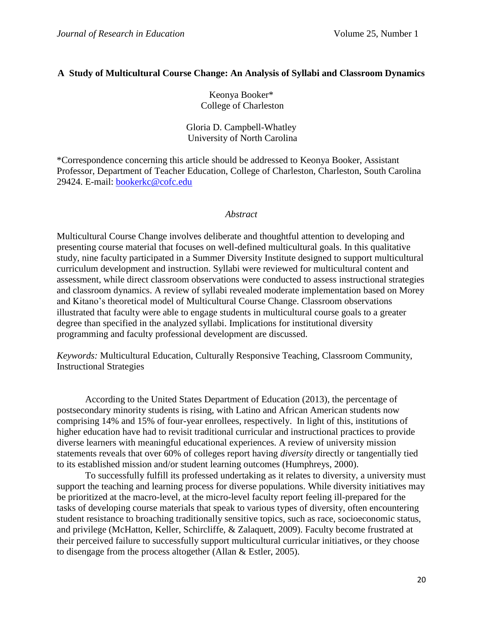# **A Study of Multicultural Course Change: An Analysis of Syllabi and Classroom Dynamics**

Keonya Booker\* College of Charleston

Gloria D. Campbell-Whatley University of North Carolina

\*Correspondence concerning this article should be addressed to Keonya Booker, Assistant Professor, Department of Teacher Education, College of Charleston, Charleston, South Carolina 29424. E-mail: [bookerkc@cofc.edu](mailto:bookerkc@cofc.edu)

# *Abstract*

Multicultural Course Change involves deliberate and thoughtful attention to developing and presenting course material that focuses on well-defined multicultural goals. In this qualitative study, nine faculty participated in a Summer Diversity Institute designed to support multicultural curriculum development and instruction. Syllabi were reviewed for multicultural content and assessment, while direct classroom observations were conducted to assess instructional strategies and classroom dynamics. A review of syllabi revealed moderate implementation based on Morey and Kitano's theoretical model of Multicultural Course Change. Classroom observations illustrated that faculty were able to engage students in multicultural course goals to a greater degree than specified in the analyzed syllabi. Implications for institutional diversity programming and faculty professional development are discussed.

*Keywords:* Multicultural Education, Culturally Responsive Teaching, Classroom Community, Instructional Strategies

According to the United States Department of Education (2013), the percentage of postsecondary minority students is rising, with Latino and African American students now comprising 14% and 15% of four-year enrollees, respectively. In light of this, institutions of higher education have had to revisit traditional curricular and instructional practices to provide diverse learners with meaningful educational experiences. A review of university mission statements reveals that over 60% of colleges report having *diversity* directly or tangentially tied to its established mission and/or student learning outcomes (Humphreys, 2000).

To successfully fulfill its professed undertaking as it relates to diversity, a university must support the teaching and learning process for diverse populations. While diversity initiatives may be prioritized at the macro-level, at the micro-level faculty report feeling ill-prepared for the tasks of developing course materials that speak to various types of diversity, often encountering student resistance to broaching traditionally sensitive topics, such as race, socioeconomic status, and privilege (McHatton, Keller, Schircliffe, & Zalaquett, 2009). Faculty become frustrated at their perceived failure to successfully support multicultural curricular initiatives, or they choose to disengage from the process altogether (Allan & Estler, 2005).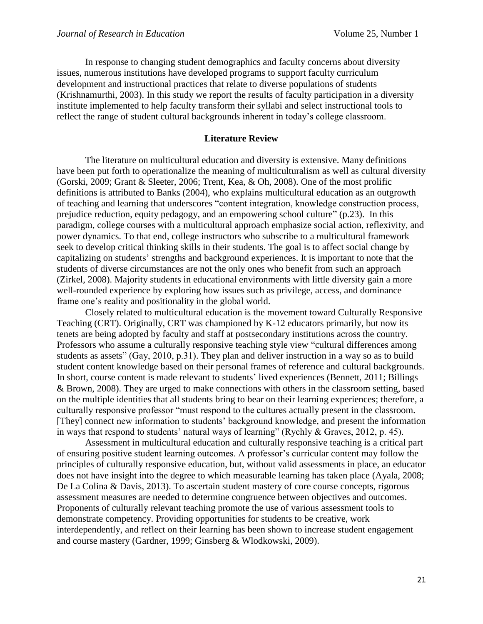In response to changing student demographics and faculty concerns about diversity issues, numerous institutions have developed programs to support faculty curriculum development and instructional practices that relate to diverse populations of students (Krishnamurthi, 2003). In this study we report the results of faculty participation in a diversity institute implemented to help faculty transform their syllabi and select instructional tools to reflect the range of student cultural backgrounds inherent in today's college classroom.

# **Literature Review**

The literature on multicultural education and diversity is extensive. Many definitions have been put forth to operationalize the meaning of multiculturalism as well as cultural diversity (Gorski, 2009; Grant & Sleeter, 2006; Trent, Kea, & Oh, 2008). One of the most prolific definitions is attributed to Banks (2004), who explains multicultural education as an outgrowth of teaching and learning that underscores "content integration, knowledge construction process, prejudice reduction, equity pedagogy, and an empowering school culture" (p.23). In this paradigm, college courses with a multicultural approach emphasize social action, reflexivity, and power dynamics. To that end, college instructors who subscribe to a multicultural framework seek to develop critical thinking skills in their students. The goal is to affect social change by capitalizing on students' strengths and background experiences. It is important to note that the students of diverse circumstances are not the only ones who benefit from such an approach (Zirkel, 2008). Majority students in educational environments with little diversity gain a more well-rounded experience by exploring how issues such as privilege, access, and dominance frame one's reality and positionality in the global world.

Closely related to multicultural education is the movement toward Culturally Responsive Teaching (CRT). Originally, CRT was championed by K-12 educators primarily, but now its tenets are being adopted by faculty and staff at postsecondary institutions across the country. Professors who assume a culturally responsive teaching style view "cultural differences among students as assets" (Gay, 2010, p.31). They plan and deliver instruction in a way so as to build student content knowledge based on their personal frames of reference and cultural backgrounds. In short, course content is made relevant to students' lived experiences (Bennett, 2011; Billings & Brown, 2008). They are urged to make connections with others in the classroom setting, based on the multiple identities that all students bring to bear on their learning experiences; therefore, a culturally responsive professor "must respond to the cultures actually present in the classroom. [They] connect new information to students' background knowledge, and present the information in ways that respond to students' natural ways of learning" (Rychly & Graves, 2012, p. 45).

Assessment in multicultural education and culturally responsive teaching is a critical part of ensuring positive student learning outcomes. A professor's curricular content may follow the principles of culturally responsive education, but, without valid assessments in place, an educator does not have insight into the degree to which measurable learning has taken place (Ayala, 2008; De La Colina & Davis, 2013). To ascertain student mastery of core course concepts, rigorous assessment measures are needed to determine congruence between objectives and outcomes. Proponents of culturally relevant teaching promote the use of various assessment tools to demonstrate competency. Providing opportunities for students to be creative, work interdependently, and reflect on their learning has been shown to increase student engagement and course mastery (Gardner, 1999; Ginsberg & Wlodkowski, 2009).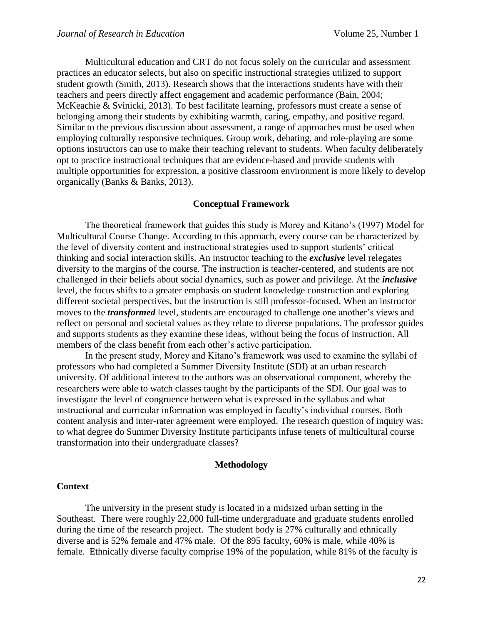Multicultural education and CRT do not focus solely on the curricular and assessment practices an educator selects, but also on specific instructional strategies utilized to support student growth (Smith, 2013). Research shows that the interactions students have with their teachers and peers directly affect engagement and academic performance (Bain, 2004; McKeachie & Svinicki, 2013). To best facilitate learning, professors must create a sense of belonging among their students by exhibiting warmth, caring, empathy, and positive regard. Similar to the previous discussion about assessment, a range of approaches must be used when employing culturally responsive techniques. Group work, debating, and role-playing are some options instructors can use to make their teaching relevant to students. When faculty deliberately opt to practice instructional techniques that are evidence-based and provide students with multiple opportunities for expression, a positive classroom environment is more likely to develop organically (Banks & Banks, 2013).

#### **Conceptual Framework**

The theoretical framework that guides this study is Morey and Kitano's (1997) Model for Multicultural Course Change. According to this approach, every course can be characterized by the level of diversity content and instructional strategies used to support students' critical thinking and social interaction skills. An instructor teaching to the *exclusive* level relegates diversity to the margins of the course. The instruction is teacher-centered, and students are not challenged in their beliefs about social dynamics, such as power and privilege. At the *inclusive* level, the focus shifts to a greater emphasis on student knowledge construction and exploring different societal perspectives, but the instruction is still professor-focused. When an instructor moves to the *transformed* level, students are encouraged to challenge one another's views and reflect on personal and societal values as they relate to diverse populations. The professor guides and supports students as they examine these ideas, without being the focus of instruction. All members of the class benefit from each other's active participation.

In the present study, Morey and Kitano's framework was used to examine the syllabi of professors who had completed a Summer Diversity Institute (SDI) at an urban research university. Of additional interest to the authors was an observational component, whereby the researchers were able to watch classes taught by the participants of the SDI. Our goal was to investigate the level of congruence between what is expressed in the syllabus and what instructional and curricular information was employed in faculty's individual courses. Both content analysis and inter-rater agreement were employed. The research question of inquiry was: to what degree do Summer Diversity Institute participants infuse tenets of multicultural course transformation into their undergraduate classes?

#### **Methodology**

### **Context**

The university in the present study is located in a midsized urban setting in the Southeast. There were roughly 22,000 full-time undergraduate and graduate students enrolled during the time of the research project. The student body is 27% culturally and ethnically diverse and is 52% female and 47% male. Of the 895 faculty, 60% is male, while 40% is female. Ethnically diverse faculty comprise 19% of the population, while 81% of the faculty is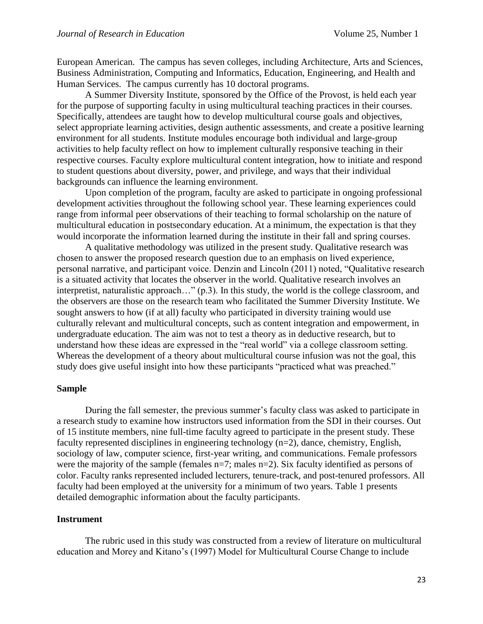European American. The campus has seven colleges, including Architecture, Arts and Sciences, Business Administration, Computing and Informatics, Education, Engineering, and Health and Human Services. The campus currently has 10 doctoral programs.

A Summer Diversity Institute, sponsored by the Office of the Provost, is held each year for the purpose of supporting faculty in using multicultural teaching practices in their courses. Specifically, attendees are taught how to develop multicultural course goals and objectives, select appropriate learning activities, design authentic assessments, and create a positive learning environment for all students. Institute modules encourage both individual and large-group activities to help faculty reflect on how to implement culturally responsive teaching in their respective courses. Faculty explore multicultural content integration, how to initiate and respond to student questions about diversity, power, and privilege, and ways that their individual backgrounds can influence the learning environment.

Upon completion of the program, faculty are asked to participate in ongoing professional development activities throughout the following school year. These learning experiences could range from informal peer observations of their teaching to formal scholarship on the nature of multicultural education in postsecondary education. At a minimum, the expectation is that they would incorporate the information learned during the institute in their fall and spring courses.

A qualitative methodology was utilized in the present study. Qualitative research was chosen to answer the proposed research question due to an emphasis on lived experience, personal narrative, and participant voice. Denzin and Lincoln (2011) noted, "Qualitative research is a situated activity that locates the observer in the world. Qualitative research involves an interpretist, naturalistic approach…" (p.3). In this study, the world is the college classroom, and the observers are those on the research team who facilitated the Summer Diversity Institute. We sought answers to how (if at all) faculty who participated in diversity training would use culturally relevant and multicultural concepts, such as content integration and empowerment, in undergraduate education. The aim was not to test a theory as in deductive research, but to understand how these ideas are expressed in the "real world" via a college classroom setting. Whereas the development of a theory about multicultural course infusion was not the goal, this study does give useful insight into how these participants "practiced what was preached."

#### **Sample**

During the fall semester, the previous summer's faculty class was asked to participate in a research study to examine how instructors used information from the SDI in their courses. Out of 15 institute members, nine full-time faculty agreed to participate in the present study. These faculty represented disciplines in engineering technology (n=2), dance, chemistry, English, sociology of law, computer science, first-year writing, and communications. Female professors were the majority of the sample (females n=7; males n=2). Six faculty identified as persons of color. Faculty ranks represented included lecturers, tenure-track, and post-tenured professors. All faculty had been employed at the university for a minimum of two years. Table 1 presents detailed demographic information about the faculty participants.

### **Instrument**

The rubric used in this study was constructed from a review of literature on multicultural education and Morey and Kitano's (1997) Model for Multicultural Course Change to include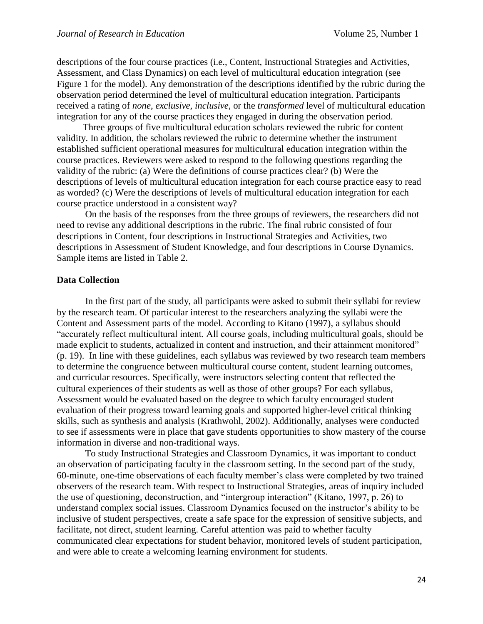descriptions of the four course practices (i.e., Content, Instructional Strategies and Activities, Assessment, and Class Dynamics) on each level of multicultural education integration (see Figure 1 for the model). Any demonstration of the descriptions identified by the rubric during the observation period determined the level of multicultural education integration. Participants received a rating of *none*, *exclusive*, *inclusive*, or the *transformed* level of multicultural education integration for any of the course practices they engaged in during the observation period.

 Three groups of five multicultural education scholars reviewed the rubric for content validity. In addition, the scholars reviewed the rubric to determine whether the instrument established sufficient operational measures for multicultural education integration within the course practices. Reviewers were asked to respond to the following questions regarding the validity of the rubric: (a) Were the definitions of course practices clear? (b) Were the descriptions of levels of multicultural education integration for each course practice easy to read as worded? (c) Were the descriptions of levels of multicultural education integration for each course practice understood in a consistent way?

 On the basis of the responses from the three groups of reviewers, the researchers did not need to revise any additional descriptions in the rubric. The final rubric consisted of four descriptions in Content, four descriptions in Instructional Strategies and Activities, two descriptions in Assessment of Student Knowledge, and four descriptions in Course Dynamics. Sample items are listed in Table 2.

#### **Data Collection**

In the first part of the study, all participants were asked to submit their syllabi for review by the research team. Of particular interest to the researchers analyzing the syllabi were the Content and Assessment parts of the model. According to Kitano (1997), a syllabus should "accurately reflect multicultural intent. All course goals, including multicultural goals, should be made explicit to students, actualized in content and instruction, and their attainment monitored" (p. 19). In line with these guidelines, each syllabus was reviewed by two research team members to determine the congruence between multicultural course content, student learning outcomes, and curricular resources. Specifically, were instructors selecting content that reflected the cultural experiences of their students as well as those of other groups? For each syllabus, Assessment would be evaluated based on the degree to which faculty encouraged student evaluation of their progress toward learning goals and supported higher-level critical thinking skills, such as synthesis and analysis (Krathwohl, 2002). Additionally, analyses were conducted to see if assessments were in place that gave students opportunities to show mastery of the course information in diverse and non-traditional ways.

To study Instructional Strategies and Classroom Dynamics, it was important to conduct an observation of participating faculty in the classroom setting. In the second part of the study, 60-minute, one-time observations of each faculty member's class were completed by two trained observers of the research team. With respect to Instructional Strategies, areas of inquiry included the use of questioning, deconstruction, and "intergroup interaction" (Kitano, 1997, p. 26) to understand complex social issues. Classroom Dynamics focused on the instructor's ability to be inclusive of student perspectives, create a safe space for the expression of sensitive subjects, and facilitate, not direct, student learning. Careful attention was paid to whether faculty communicated clear expectations for student behavior, monitored levels of student participation, and were able to create a welcoming learning environment for students.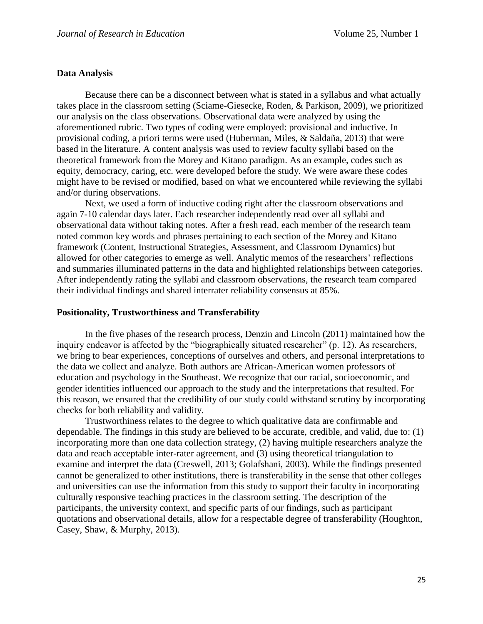## **Data Analysis**

Because there can be a disconnect between what is stated in a syllabus and what actually takes place in the classroom setting (Sciame-Giesecke, Roden, & Parkison, 2009), we prioritized our analysis on the class observations. Observational data were analyzed by using the aforementioned rubric. Two types of coding were employed: provisional and inductive. In provisional coding, a priori terms were used (Huberman, Miles, & Saldaña, 2013) that were based in the literature. A content analysis was used to review faculty syllabi based on the theoretical framework from the Morey and Kitano paradigm. As an example, codes such as equity, democracy, caring, etc. were developed before the study. We were aware these codes might have to be revised or modified, based on what we encountered while reviewing the syllabi and/or during observations.

Next, we used a form of inductive coding right after the classroom observations and again 7-10 calendar days later. Each researcher independently read over all syllabi and observational data without taking notes. After a fresh read, each member of the research team noted common key words and phrases pertaining to each section of the Morey and Kitano framework (Content, Instructional Strategies, Assessment, and Classroom Dynamics) but allowed for other categories to emerge as well. Analytic memos of the researchers' reflections and summaries illuminated patterns in the data and highlighted relationships between categories. After independently rating the syllabi and classroom observations, the research team compared their individual findings and shared interrater reliability consensus at 85%.

#### **Positionality, Trustworthiness and Transferability**

In the five phases of the research process, Denzin and Lincoln (2011) maintained how the inquiry endeavor is affected by the "biographically situated researcher" (p. 12). As researchers, we bring to bear experiences, conceptions of ourselves and others, and personal interpretations to the data we collect and analyze. Both authors are African-American women professors of education and psychology in the Southeast. We recognize that our racial, socioeconomic, and gender identities influenced our approach to the study and the interpretations that resulted. For this reason, we ensured that the credibility of our study could withstand scrutiny by incorporating checks for both reliability and validity.

Trustworthiness relates to the degree to which qualitative data are confirmable and dependable. The findings in this study are believed to be accurate, credible, and valid, due to: (1) incorporating more than one data collection strategy, (2) having multiple researchers analyze the data and reach acceptable inter-rater agreement, and (3) using theoretical triangulation to examine and interpret the data (Creswell, 2013; Golafshani, 2003). While the findings presented cannot be generalized to other institutions, there is transferability in the sense that other colleges and universities can use the information from this study to support their faculty in incorporating culturally responsive teaching practices in the classroom setting. The description of the participants, the university context, and specific parts of our findings, such as participant quotations and observational details, allow for a respectable degree of transferability (Houghton, Casey, Shaw, & Murphy, 2013).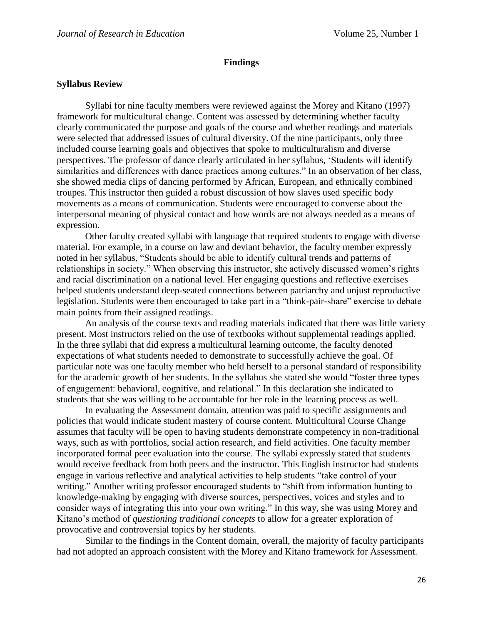### **Findings**

## **Syllabus Review**

Syllabi for nine faculty members were reviewed against the Morey and Kitano (1997) framework for multicultural change. Content was assessed by determining whether faculty clearly communicated the purpose and goals of the course and whether readings and materials were selected that addressed issues of cultural diversity. Of the nine participants, only three included course learning goals and objectives that spoke to multiculturalism and diverse perspectives. The professor of dance clearly articulated in her syllabus, 'Students will identify similarities and differences with dance practices among cultures." In an observation of her class, she showed media clips of dancing performed by African, European, and ethnically combined troupes. This instructor then guided a robust discussion of how slaves used specific body movements as a means of communication. Students were encouraged to converse about the interpersonal meaning of physical contact and how words are not always needed as a means of expression.

Other faculty created syllabi with language that required students to engage with diverse material. For example, in a course on law and deviant behavior, the faculty member expressly noted in her syllabus, "Students should be able to identify cultural trends and patterns of relationships in society." When observing this instructor, she actively discussed women's rights and racial discrimination on a national level. Her engaging questions and reflective exercises helped students understand deep-seated connections between patriarchy and unjust reproductive legislation. Students were then encouraged to take part in a "think-pair-share" exercise to debate main points from their assigned readings.

An analysis of the course texts and reading materials indicated that there was little variety present. Most instructors relied on the use of textbooks without supplemental readings applied. In the three syllabi that did express a multicultural learning outcome, the faculty denoted expectations of what students needed to demonstrate to successfully achieve the goal. Of particular note was one faculty member who held herself to a personal standard of responsibility for the academic growth of her students. In the syllabus she stated she would "foster three types of engagement: behavioral, cognitive, and relational." In this declaration she indicated to students that she was willing to be accountable for her role in the learning process as well.

In evaluating the Assessment domain, attention was paid to specific assignments and policies that would indicate student mastery of course content. Multicultural Course Change assumes that faculty will be open to having students demonstrate competency in non-traditional ways, such as with portfolios, social action research, and field activities. One faculty member incorporated formal peer evaluation into the course. The syllabi expressly stated that students would receive feedback from both peers and the instructor. This English instructor had students engage in various reflective and analytical activities to help students "take control of your writing." Another writing professor encouraged students to "shift from information hunting to knowledge-making by engaging with diverse sources, perspectives, voices and styles and to consider ways of integrating this into your own writing." In this way, she was using Morey and Kitano's method of *questioning traditional concepts* to allow for a greater exploration of provocative and controversial topics by her students.

Similar to the findings in the Content domain, overall, the majority of faculty participants had not adopted an approach consistent with the Morey and Kitano framework for Assessment.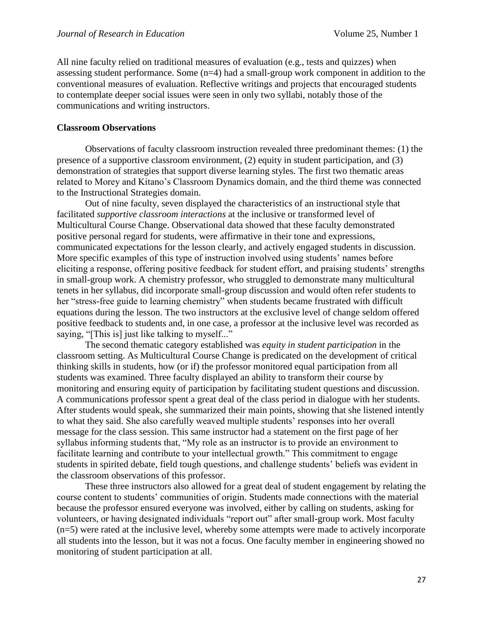All nine faculty relied on traditional measures of evaluation (e.g., tests and quizzes) when assessing student performance. Some (n=4) had a small-group work component in addition to the conventional measures of evaluation. Reflective writings and projects that encouraged students to contemplate deeper social issues were seen in only two syllabi, notably those of the communications and writing instructors.

## **Classroom Observations**

Observations of faculty classroom instruction revealed three predominant themes: (1) the presence of a supportive classroom environment, (2) equity in student participation, and (3) demonstration of strategies that support diverse learning styles. The first two thematic areas related to Morey and Kitano's Classroom Dynamics domain, and the third theme was connected to the Instructional Strategies domain.

Out of nine faculty, seven displayed the characteristics of an instructional style that facilitated *supportive classroom interactions* at the inclusive or transformed level of Multicultural Course Change. Observational data showed that these faculty demonstrated positive personal regard for students, were affirmative in their tone and expressions, communicated expectations for the lesson clearly, and actively engaged students in discussion. More specific examples of this type of instruction involved using students' names before eliciting a response, offering positive feedback for student effort, and praising students' strengths in small-group work. A chemistry professor, who struggled to demonstrate many multicultural tenets in her syllabus, did incorporate small-group discussion and would often refer students to her "stress-free guide to learning chemistry" when students became frustrated with difficult equations during the lesson. The two instructors at the exclusive level of change seldom offered positive feedback to students and, in one case, a professor at the inclusive level was recorded as saying, "[This is] just like talking to myself..."

The second thematic category established was *equity in student participation* in the classroom setting. As Multicultural Course Change is predicated on the development of critical thinking skills in students, how (or if) the professor monitored equal participation from all students was examined. Three faculty displayed an ability to transform their course by monitoring and ensuring equity of participation by facilitating student questions and discussion. A communications professor spent a great deal of the class period in dialogue with her students. After students would speak, she summarized their main points, showing that she listened intently to what they said. She also carefully weaved multiple students' responses into her overall message for the class session. This same instructor had a statement on the first page of her syllabus informing students that, "My role as an instructor is to provide an environment to facilitate learning and contribute to your intellectual growth." This commitment to engage students in spirited debate, field tough questions, and challenge students' beliefs was evident in the classroom observations of this professor.

These three instructors also allowed for a great deal of student engagement by relating the course content to students' communities of origin. Students made connections with the material because the professor ensured everyone was involved, either by calling on students, asking for volunteers, or having designated individuals "report out" after small-group work. Most faculty (n=5) were rated at the inclusive level, whereby some attempts were made to actively incorporate all students into the lesson, but it was not a focus. One faculty member in engineering showed no monitoring of student participation at all.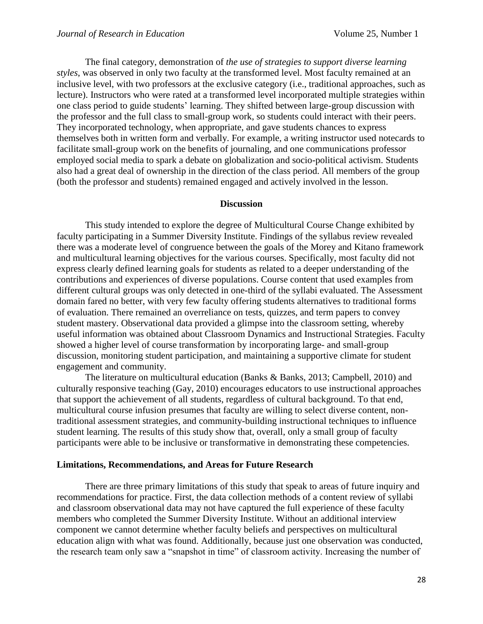The final category, demonstration of *the use of strategies to support diverse learning styles*, was observed in only two faculty at the transformed level. Most faculty remained at an inclusive level, with two professors at the exclusive category (i.e., traditional approaches, such as lecture). Instructors who were rated at a transformed level incorporated multiple strategies within one class period to guide students' learning. They shifted between large-group discussion with the professor and the full class to small-group work, so students could interact with their peers. They incorporated technology, when appropriate, and gave students chances to express themselves both in written form and verbally. For example, a writing instructor used notecards to facilitate small-group work on the benefits of journaling, and one communications professor employed social media to spark a debate on globalization and socio-political activism. Students also had a great deal of ownership in the direction of the class period. All members of the group (both the professor and students) remained engaged and actively involved in the lesson.

### **Discussion**

This study intended to explore the degree of Multicultural Course Change exhibited by faculty participating in a Summer Diversity Institute. Findings of the syllabus review revealed there was a moderate level of congruence between the goals of the Morey and Kitano framework and multicultural learning objectives for the various courses. Specifically, most faculty did not express clearly defined learning goals for students as related to a deeper understanding of the contributions and experiences of diverse populations. Course content that used examples from different cultural groups was only detected in one-third of the syllabi evaluated. The Assessment domain fared no better, with very few faculty offering students alternatives to traditional forms of evaluation. There remained an overreliance on tests, quizzes, and term papers to convey student mastery. Observational data provided a glimpse into the classroom setting, whereby useful information was obtained about Classroom Dynamics and Instructional Strategies. Faculty showed a higher level of course transformation by incorporating large- and small-group discussion, monitoring student participation, and maintaining a supportive climate for student engagement and community.

The literature on multicultural education (Banks & Banks, 2013; Campbell, 2010) and culturally responsive teaching (Gay, 2010) encourages educators to use instructional approaches that support the achievement of all students, regardless of cultural background. To that end, multicultural course infusion presumes that faculty are willing to select diverse content, nontraditional assessment strategies, and community-building instructional techniques to influence student learning. The results of this study show that, overall, only a small group of faculty participants were able to be inclusive or transformative in demonstrating these competencies.

## **Limitations, Recommendations, and Areas for Future Research**

There are three primary limitations of this study that speak to areas of future inquiry and recommendations for practice. First, the data collection methods of a content review of syllabi and classroom observational data may not have captured the full experience of these faculty members who completed the Summer Diversity Institute. Without an additional interview component we cannot determine whether faculty beliefs and perspectives on multicultural education align with what was found. Additionally, because just one observation was conducted, the research team only saw a "snapshot in time" of classroom activity. Increasing the number of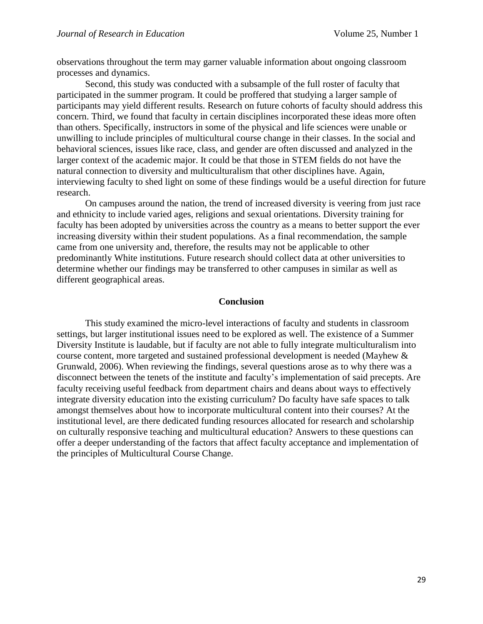observations throughout the term may garner valuable information about ongoing classroom processes and dynamics.

Second, this study was conducted with a subsample of the full roster of faculty that participated in the summer program. It could be proffered that studying a larger sample of participants may yield different results. Research on future cohorts of faculty should address this concern. Third, we found that faculty in certain disciplines incorporated these ideas more often than others. Specifically, instructors in some of the physical and life sciences were unable or unwilling to include principles of multicultural course change in their classes. In the social and behavioral sciences, issues like race, class, and gender are often discussed and analyzed in the larger context of the academic major. It could be that those in STEM fields do not have the natural connection to diversity and multiculturalism that other disciplines have. Again, interviewing faculty to shed light on some of these findings would be a useful direction for future research.

On campuses around the nation, the trend of increased diversity is veering from just race and ethnicity to include varied ages, religions and sexual orientations. Diversity training for faculty has been adopted by universities across the country as a means to better support the ever increasing diversity within their student populations. As a final recommendation, the sample came from one university and, therefore, the results may not be applicable to other predominantly White institutions. Future research should collect data at other universities to determine whether our findings may be transferred to other campuses in similar as well as different geographical areas.

#### **Conclusion**

This study examined the micro-level interactions of faculty and students in classroom settings, but larger institutional issues need to be explored as well. The existence of a Summer Diversity Institute is laudable, but if faculty are not able to fully integrate multiculturalism into course content, more targeted and sustained professional development is needed (Mayhew & Grunwald, 2006). When reviewing the findings, several questions arose as to why there was a disconnect between the tenets of the institute and faculty's implementation of said precepts. Are faculty receiving useful feedback from department chairs and deans about ways to effectively integrate diversity education into the existing curriculum? Do faculty have safe spaces to talk amongst themselves about how to incorporate multicultural content into their courses? At the institutional level, are there dedicated funding resources allocated for research and scholarship on culturally responsive teaching and multicultural education? Answers to these questions can offer a deeper understanding of the factors that affect faculty acceptance and implementation of the principles of Multicultural Course Change.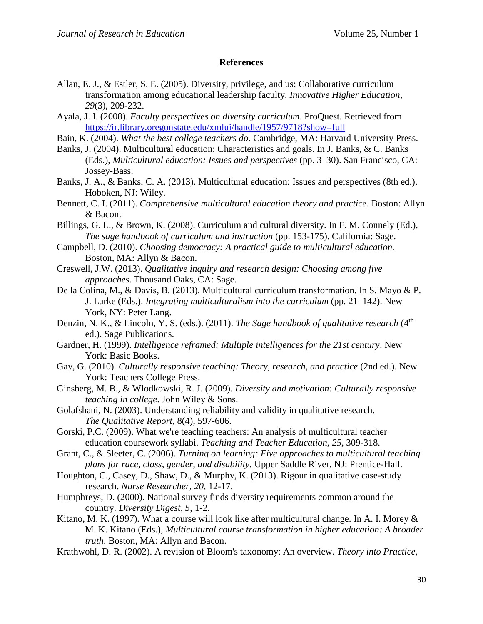## **References**

- Allan, E. J., & Estler, S. E. (2005). Diversity, privilege, and us: Collaborative curriculum transformation among educational leadership faculty. *Innovative Higher Education*, *29*(3), 209-232.
- Ayala, J. I. (2008). *Faculty perspectives on diversity curriculum*. ProQuest. Retrieved from <https://ir.library.oregonstate.edu/xmlui/handle/1957/9718?show=full>
- Bain, K. (2004). *What the best college teachers do.* Cambridge, MA: Harvard University Press.
- Banks, J. (2004). Multicultural education: Characteristics and goals. In J. Banks, & C. Banks (Eds.), *Multicultural education: Issues and perspectives* (pp. 3–30). San Francisco, CA: Jossey-Bass.
- Banks, J. A., & Banks, C. A. (2013). Multicultural education: Issues and perspectives (8th ed.). Hoboken, NJ: Wiley.
- Bennett, C. I. (2011). *Comprehensive multicultural education theory and practice*. Boston: Allyn & Bacon.
- Billings, G. L., & Brown, K. (2008). Curriculum and cultural diversity. In F. M. Connely (Ed.), *The sage handbook of curriculum and instruction* (pp. 153-175). California: Sage.
- Campbell, D. (2010). *Choosing democracy: A practical guide to multicultural education.* Boston, MA: Allyn & Bacon.
- Creswell, J.W. (2013). *Qualitative inquiry and research design: Choosing among five approaches*. Thousand Oaks, CA: Sage.
- De la Colina, M., & Davis, B. (2013). Multicultural curriculum transformation. In S. Mayo & P. J. Larke (Eds.). *Integrating multiculturalism into the curriculum* (pp. 21–142). New York, NY: Peter Lang.
- Denzin, N. K., & Lincoln, Y. S. (eds.). (2011). *The Sage handbook of qualitative research* (4<sup>th</sup> ed.). Sage Publications.
- Gardner, H. (1999). *Intelligence reframed: Multiple intelligences for the 21st century*. New York: Basic Books.
- Gay, G. (2010). *Culturally responsive teaching: Theory, research, and practice* (2nd ed.). New York: Teachers College Press.
- Ginsberg, M. B., & Wlodkowski, R. J. (2009). *Diversity and motivation: Culturally responsive teaching in college*. John Wiley & Sons.
- Golafshani, N. (2003). Understanding reliability and validity in qualitative research. *The Qualitative Report*, 8(4), 597-606.
- Gorski, P.C. (2009). What we're teaching teachers: An analysis of multicultural teacher education coursework syllabi. *Teaching and Teacher Education, 25,* 309-318.
- Grant, C., & Sleeter, C. (2006). *Turning on learning: Five approaches to multicultural teaching plans for race, class, gender, and disability.* Upper Saddle River, NJ: Prentice-Hall.
- Houghton, C., Casey, D., Shaw, D., & Murphy, K. (2013). Rigour in qualitative case-study research. *Nurse Researcher, 20*, 12-17.
- Humphreys, D. (2000). National survey finds diversity requirements common around the country. *Diversity Digest, 5*, 1-2.
- Kitano, M. K. (1997). What a course will look like after multicultural change. In A. I. Morey  $\&$ M. K. Kitano (Eds.), *Multicultural course transformation in higher education: A broader truth*. Boston, MA: Allyn and Bacon.
- Krathwohl, D. R. (2002). A revision of Bloom's taxonomy: An overview. *Theory into Practice*,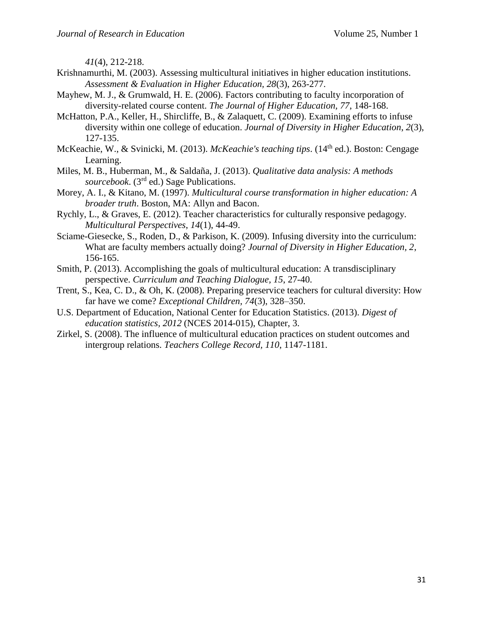*41*(4), 212-218.

- Krishnamurthi, M. (2003). Assessing multicultural initiatives in higher education institutions. *Assessment & Evaluation in Higher Education, 28*(3), 263-277.
- Mayhew, M. J., & Grumwald, H. E. (2006). Factors contributing to faculty incorporation of diversity-related course content. *The Journal of Higher Education, 77*, 148-168.
- McHatton, P.A., Keller, H., Shircliffe, B., & Zalaquett, C. (2009). Examining efforts to infuse diversity within one college of education. *Journal of Diversity in Higher Education*, *2*(3), 127-135.
- McKeachie, W., & Svinicki, M. (2013). *McKeachie's teaching tips*. (14th ed.). Boston: Cengage Learning.
- Miles, M. B., Huberman, M., & Saldaña, J. (2013). *Qualitative data analysis: A methods sourcebook*. (3rd ed.) Sage Publications.
- Morey, A. I., & Kitano, M. (1997). *Multicultural course transformation in higher education: A broader truth*. Boston, MA: Allyn and Bacon.
- Rychly, L., & Graves, E. (2012). Teacher characteristics for culturally responsive pedagogy. *Multicultural Perspectives*, *14*(1), 44-49.
- Sciame-Giesecke, S., Roden, D., & Parkison, K. (2009). Infusing diversity into the curriculum: What are faculty members actually doing? *Journal of Diversity in Higher Education, 2*, 156-165.
- Smith, P. (2013). Accomplishing the goals of multicultural education: A transdisciplinary perspective. *Curriculum and Teaching Dialogue, 15*, 27-40.
- Trent, S., Kea, C. D., & Oh, K. (2008). Preparing preservice teachers for cultural diversity: How far have we come? *Exceptional Children, 74*(3), 328–350.
- U.S. Department of Education, National Center for Education Statistics. (2013). *Digest of education statistics, 2012* (NCES 2014-015), Chapter, 3.
- Zirkel, S. (2008). The influence of multicultural education practices on student outcomes and intergroup relations. *Teachers College Record, 110*, 1147-1181.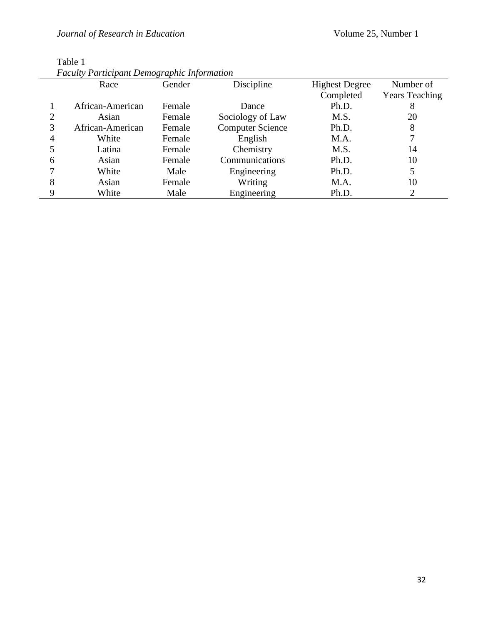| <b>Faculty Participant Demographic Information</b> |                  |        |                         |                       |                       |  |
|----------------------------------------------------|------------------|--------|-------------------------|-----------------------|-----------------------|--|
|                                                    | Race             | Gender | Discipline              | <b>Highest Degree</b> | Number of             |  |
|                                                    |                  |        |                         | Completed             | <b>Years Teaching</b> |  |
|                                                    | African-American | Female | Dance                   | Ph.D.                 | 8                     |  |
|                                                    | Asian            | Female | Sociology of Law        | M.S.                  | 20                    |  |
| 3                                                  | African-American | Female | <b>Computer Science</b> | Ph.D.                 | 8                     |  |
| 4                                                  | White            | Female | English                 | M.A.                  |                       |  |
|                                                    | Latina           | Female | Chemistry               | M.S.                  | 14                    |  |
| 6                                                  | Asian            | Female | Communications          | Ph.D.                 | 10                    |  |
|                                                    | White            | Male   | Engineering             | Ph.D.                 | 5                     |  |
| 8                                                  | Asian            | Female | Writing                 | M.A.                  | 10                    |  |
| 9                                                  | White            | Male   | Engineering             | Ph.D.                 | 2                     |  |

Table 1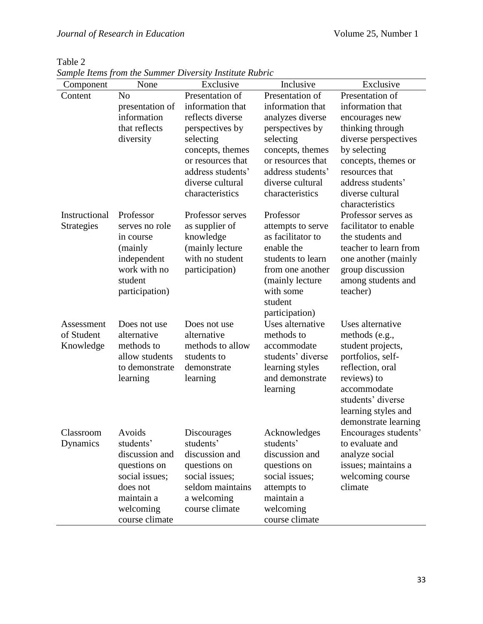| Component         | None                      | $sum$ . The state of the summer $E$ is the summer $\mathbf{r}$<br>Exclusive | Inclusive                          | Exclusive                           |
|-------------------|---------------------------|-----------------------------------------------------------------------------|------------------------------------|-------------------------------------|
| Content           | N <sub>o</sub>            | Presentation of                                                             | Presentation of                    | Presentation of                     |
|                   | presentation of           | information that                                                            | information that                   | information that                    |
|                   | information               | reflects diverse                                                            | analyzes diverse                   | encourages new                      |
|                   | that reflects             | perspectives by                                                             | perspectives by                    | thinking through                    |
|                   | diversity                 | selecting                                                                   | selecting                          | diverse perspectives                |
|                   |                           | concepts, themes                                                            | concepts, themes                   | by selecting                        |
|                   |                           | or resources that                                                           | or resources that                  | concepts, themes or                 |
|                   |                           | address students'                                                           | address students'                  | resources that                      |
|                   |                           | diverse cultural                                                            | diverse cultural                   | address students'                   |
|                   |                           | characteristics                                                             | characteristics                    | diverse cultural<br>characteristics |
| Instructional     | Professor                 | Professor serves                                                            | Professor                          | Professor serves as                 |
| <b>Strategies</b> | serves no role            | as supplier of                                                              | attempts to serve                  | facilitator to enable               |
|                   | in course                 | knowledge                                                                   | as facilitator to                  | the students and                    |
|                   | (mainly                   | (mainly lecture                                                             | enable the                         | teacher to learn from               |
|                   | independent               | with no student                                                             | students to learn                  | one another (mainly                 |
|                   | work with no              | participation)                                                              | from one another                   | group discussion                    |
|                   | student                   |                                                                             | (mainly lecture                    | among students and                  |
|                   | participation)            |                                                                             | with some                          | teacher)                            |
|                   |                           |                                                                             | student                            |                                     |
|                   |                           |                                                                             | participation)                     |                                     |
| Assessment        | Does not use              | Does not use                                                                | Uses alternative                   | Uses alternative                    |
| of Student        | alternative<br>methods to | alternative<br>methods to allow                                             | methods to                         | methods (e.g.,                      |
| Knowledge         | allow students            | students to                                                                 | accommodate<br>students' diverse   | student projects,                   |
|                   | to demonstrate            | demonstrate                                                                 |                                    | portfolios, self-                   |
|                   |                           |                                                                             | learning styles<br>and demonstrate | reflection, oral                    |
|                   | learning                  | learning                                                                    |                                    | reviews) to<br>accommodate          |
|                   |                           |                                                                             | learning                           | students' diverse                   |
|                   |                           |                                                                             |                                    | learning styles and                 |
|                   |                           |                                                                             |                                    | demonstrate learning                |
| Classroom         | Avoids                    | Discourages                                                                 | Acknowledges                       | Encourages students'                |
| Dynamics          | students'                 | students'                                                                   | students'                          | to evaluate and                     |
|                   | discussion and            | discussion and                                                              | discussion and                     | analyze social                      |
|                   | questions on              | questions on                                                                | questions on                       | issues; maintains a                 |
|                   | social issues;            | social issues;                                                              | social issues;                     | welcoming course                    |
|                   | does not                  | seldom maintains                                                            | attempts to                        | climate                             |
|                   | maintain a                | a welcoming                                                                 | maintain a                         |                                     |
|                   | welcoming                 | course climate                                                              | welcoming                          |                                     |
|                   | course climate            |                                                                             | course climate                     |                                     |

Table 2 *Sample Items from the Summer Diversity Institute Rubric*